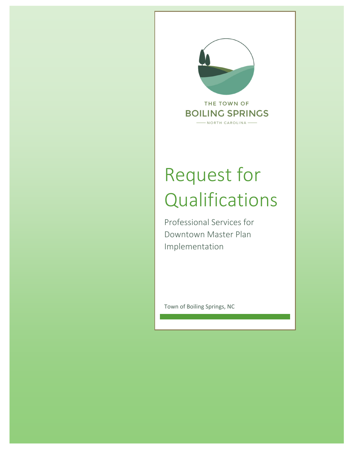

# Request for Qualifications

Professional Services for Downtown Master Plan Implementation

Town of Boiling Springs, NC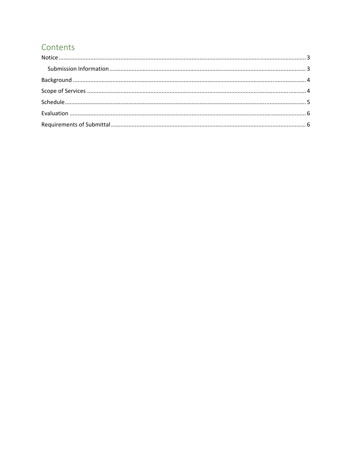# Contents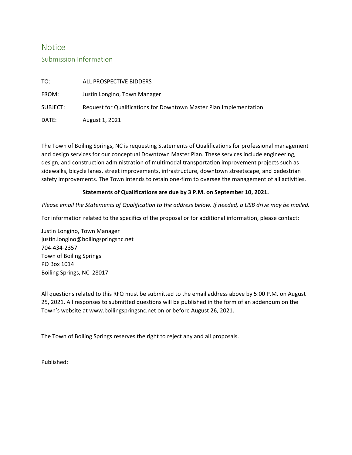#### **Notice**

#### Submission Information

| TO:      | ALL PROSPECTIVE BIDDERS                                            |
|----------|--------------------------------------------------------------------|
| FROM:    | Justin Longino, Town Manager                                       |
| SUBJECT: | Request for Qualifications for Downtown Master Plan Implementation |
| DATE:    | August 1, 2021                                                     |

The Town of Boiling Springs, NC is requesting Statements of Qualifications for professional management and design services for our conceptual Downtown Master Plan. These services include engineering, design, and construction administration of multimodal transportation improvement projects such as sidewalks, bicycle lanes, street improvements, infrastructure, downtown streetscape, and pedestrian safety improvements. The Town intends to retain one-firm to oversee the management of all activities.

#### **Statements of Qualifications are due by 3 P.M. on September 10, 2021.**

Please email the Statements of Qualification to the address below. If needed, a USB drive may be mailed.

For information related to the specifics of the proposal or for additional information, please contact:

Justin Longino, Town Manager justin.longino@boilingspringsnc.net 704‐434‐2357 Town of Boiling Springs PO Box 1014 Boiling Springs, NC 28017

All questions related to this RFQ must be submitted to the email address above by 5:00 P.M. on August 25, 2021. All responses to submitted questions will be published in the form of an addendum on the Town's website at www.boilingspringsnc.net on or before August 26, 2021.

The Town of Boiling Springs reserves the right to reject any and all proposals.

Published: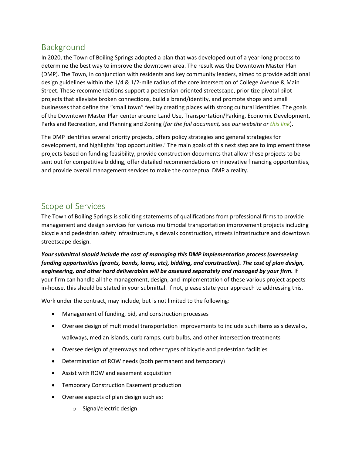### Background

In 2020, the Town of Boiling Springs adopted a plan that was developed out of a year-long process to determine the best way to improve the downtown area. The result was the Downtown Master Plan (DMP). The Town, in conjunction with residents and key community leaders, aimed to provide additional design guidelines within the 1/4 & 1/2-mile radius of the core intersection of College Avenue & Main Street. These recommendations support a pedestrian‐oriented streetscape, prioritize pivotal pilot projects that alleviate broken connections, build a brand/identity, and promote shops and small businesses that define the "small town" feel by creating places with strong cultural identities. The goals of the Downtown Master Plan center around Land Use, Transportation/Parking, Economic Development, Parks and Recreation, and Planning and Zoning (*for the full document, see our website or this link*).

The DMP identifies several priority projects, offers policy strategies and general strategies for development, and highlights 'top opportunities.' The main goals of this next step are to implement these projects based on funding feasibility, provide construction documents that allow these projects to be sent out for competitive bidding, offer detailed recommendations on innovative financing opportunities, and provide overall management services to make the conceptual DMP a reality.

#### Scope of Services

The Town of Boiling Springs is soliciting statements of qualifications from professional firms to provide management and design services for various multimodal transportation improvement projects including bicycle and pedestrian safety infrastructure, sidewalk construction, streets infrastructure and downtown streetscape design.

*Your submittal should include the cost of managing this DMP implementation process (overseeing funding opportunities (grants, bonds, loans, etc), bidding, and construction). The cost of plan design, engineering, and other hard deliverables will be assessed separately and managed by your firm.* If your firm can handle all the management, design, and implementation of these various project aspects in-house, this should be stated in your submittal. If not, please state your approach to addressing this.

Work under the contract, may include, but is not limited to the following:

- Management of funding, bid, and construction processes
- Oversee design of multimodal transportation improvements to include such items as sidewalks, walkways, median islands, curb ramps, curb bulbs, and other intersection treatments
- Oversee design of greenways and other types of bicycle and pedestrian facilities
- Determination of ROW needs (both permanent and temporary)
- Assist with ROW and easement acquisition
- **•** Temporary Construction Easement production
- Oversee aspects of plan design such as:
	- o Signal/electric design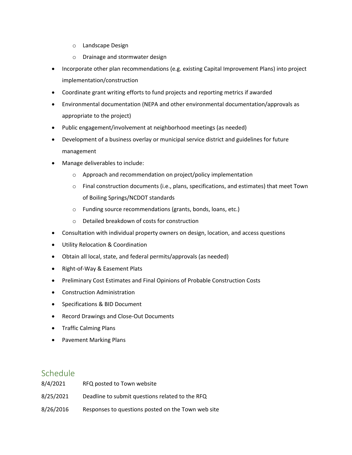- o Landscape Design
- o Drainage and stormwater design
- Incorporate other plan recommendations (e.g. existing Capital Improvement Plans) into project implementation/construction
- Coordinate grant writing efforts to fund projects and reporting metrics if awarded
- Environmental documentation (NEPA and other environmental documentation/approvals as appropriate to the project)
- Public engagement/involvement at neighborhood meetings (as needed)
- Development of a business overlay or municipal service district and guidelines for future management
- Manage deliverables to include:
	- o Approach and recommendation on project/policy implementation
	- o Final construction documents (i.e., plans, specifications, and estimates) that meet Town of Boiling Springs/NCDOT standards
	- o Funding source recommendations (grants, bonds, loans, etc.)
	- o Detailed breakdown of costs for construction
- Consultation with individual property owners on design, location, and access questions
- Utility Relocation & Coordination
- Obtain all local, state, and federal permits/approvals (as needed)
- Right-of-Way & Easement Plats
- Preliminary Cost Estimates and Final Opinions of Probable Construction Costs
- Construction Administration
- Specifications & BID Document
- Record Drawings and Close-Out Documents
- Traffic Calming Plans
- Pavement Marking Plans

#### Schedule

| 8/4/2021  | RFQ posted to Town website                         |
|-----------|----------------------------------------------------|
| 8/25/2021 | Deadline to submit questions related to the RFQ    |
| 8/26/2016 | Responses to questions posted on the Town web site |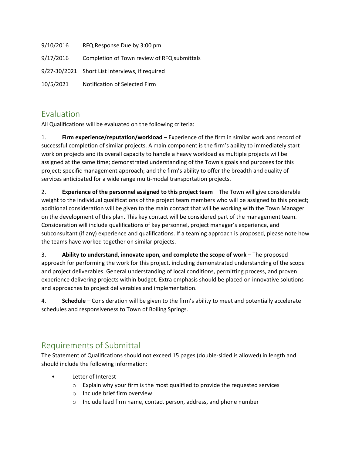| 9/10/2016 | RFQ Response Due by 3:00 pm                     |
|-----------|-------------------------------------------------|
| 9/17/2016 | Completion of Town review of RFQ submittals     |
|           | 9/27-30/2021 Short List Interviews, if required |
| 10/5/2021 | Notification of Selected Firm                   |

## Evaluation

All Qualifications will be evaluated on the following criteria:

1. **Firm experience/reputation/workload** – Experience of the firm in similar work and record of successful completion of similar projects. A main component is the firm's ability to immediately start work on projects and its overall capacity to handle a heavy workload as multiple projects will be assigned at the same time; demonstrated understanding of the Town's goals and purposes for this project; specific management approach; and the firm's ability to offer the breadth and quality of services anticipated for a wide range multi-modal transportation projects.

2. **Experience of the personnel assigned to this project team** – The Town will give considerable weight to the individual qualifications of the project team members who will be assigned to this project; additional consideration will be given to the main contact that will be working with the Town Manager on the development of this plan. This key contact will be considered part of the management team. Consideration will include qualifications of key personnel, project manager's experience, and subconsultant (if any) experience and qualifications. If a teaming approach is proposed, please note how the teams have worked together on similar projects.

3. **Ability to understand, innovate upon, and complete the scope of work** – The proposed approach for performing the work for this project, including demonstrated understanding of the scope and project deliverables. General understanding of local conditions, permitting process, and proven experience delivering projects within budget. Extra emphasis should be placed on innovative solutions and approaches to project deliverables and implementation.

4. **Schedule** – Consideration will be given to the firm's ability to meet and potentially accelerate schedules and responsiveness to Town of Boiling Springs.

## Requirements of Submittal

The Statement of Qualifications should not exceed 15 pages (double‐sided is allowed) in length and should include the following information:

- Letter of Interest
	- o Explain why your firm is the most qualified to provide the requested services
	- o Include brief firm overview
	- o Include lead firm name, contact person, address, and phone number